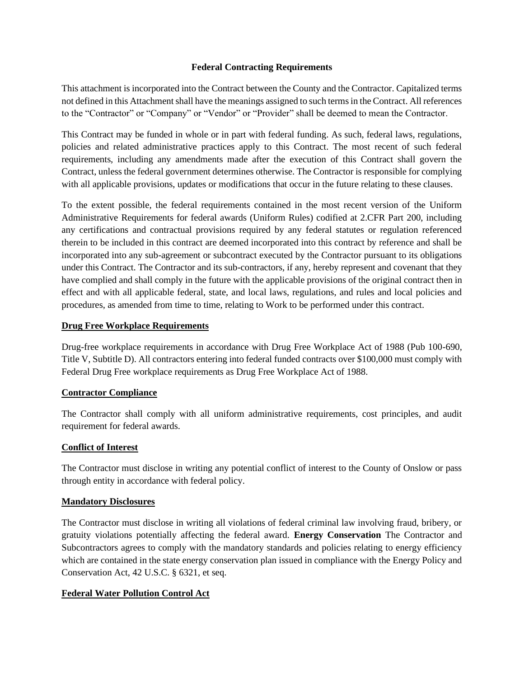#### **Federal Contracting Requirements**

This attachment is incorporated into the Contract between the County and the Contractor. Capitalized terms not defined in this Attachment shall have the meanings assigned to such terms in the Contract. All references to the "Contractor" or "Company" or "Vendor" or "Provider" shall be deemed to mean the Contractor.

This Contract may be funded in whole or in part with federal funding. As such, federal laws, regulations, policies and related administrative practices apply to this Contract. The most recent of such federal requirements, including any amendments made after the execution of this Contract shall govern the Contract, unless the federal government determines otherwise. The Contractor is responsible for complying with all applicable provisions, updates or modifications that occur in the future relating to these clauses.

To the extent possible, the federal requirements contained in the most recent version of the Uniform Administrative Requirements for federal awards (Uniform Rules) codified at 2.CFR Part 200, including any certifications and contractual provisions required by any federal statutes or regulation referenced therein to be included in this contract are deemed incorporated into this contract by reference and shall be incorporated into any sub-agreement or subcontract executed by the Contractor pursuant to its obligations under this Contract. The Contractor and its sub-contractors, if any, hereby represent and covenant that they have complied and shall comply in the future with the applicable provisions of the original contract then in effect and with all applicable federal, state, and local laws, regulations, and rules and local policies and procedures, as amended from time to time, relating to Work to be performed under this contract.

#### **Drug Free Workplace Requirements**

Drug-free workplace requirements in accordance with Drug Free Workplace Act of 1988 (Pub 100-690, Title V, Subtitle D). All contractors entering into federal funded contracts over \$100,000 must comply with Federal Drug Free workplace requirements as Drug Free Workplace Act of 1988.

#### **Contractor Compliance**

The Contractor shall comply with all uniform administrative requirements, cost principles, and audit requirement for federal awards.

#### **Conflict of Interest**

The Contractor must disclose in writing any potential conflict of interest to the County of Onslow or pass through entity in accordance with federal policy.

#### **Mandatory Disclosures**

The Contractor must disclose in writing all violations of federal criminal law involving fraud, bribery, or gratuity violations potentially affecting the federal award. **Energy Conservation** The Contractor and Subcontractors agrees to comply with the mandatory standards and policies relating to energy efficiency which are contained in the state energy conservation plan issued in compliance with the Energy Policy and Conservation Act, 42 U.S.C. § 6321, et seq.

#### **Federal Water Pollution Control Act**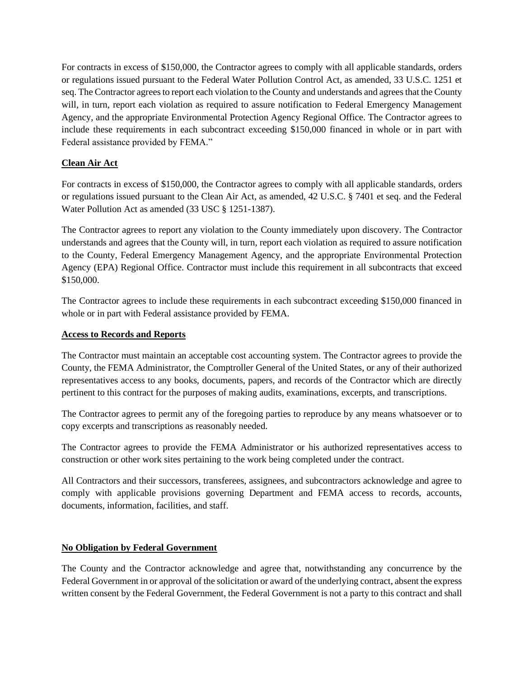For contracts in excess of \$150,000, the Contractor agrees to comply with all applicable standards, orders or regulations issued pursuant to the Federal Water Pollution Control Act, as amended, 33 U.S.C. 1251 et seq. The Contractor agrees to report each violation to the County and understands and agrees that the County will, in turn, report each violation as required to assure notification to Federal Emergency Management Agency, and the appropriate Environmental Protection Agency Regional Office. The Contractor agrees to include these requirements in each subcontract exceeding \$150,000 financed in whole or in part with Federal assistance provided by FEMA."

## **Clean Air Act**

For contracts in excess of \$150,000, the Contractor agrees to comply with all applicable standards, orders or regulations issued pursuant to the Clean Air Act, as amended, 42 U.S.C. § 7401 et seq. and the Federal Water Pollution Act as amended (33 USC § 1251-1387).

The Contractor agrees to report any violation to the County immediately upon discovery. The Contractor understands and agrees that the County will, in turn, report each violation as required to assure notification to the County, Federal Emergency Management Agency, and the appropriate Environmental Protection Agency (EPA) Regional Office. Contractor must include this requirement in all subcontracts that exceed \$150,000.

The Contractor agrees to include these requirements in each subcontract exceeding \$150,000 financed in whole or in part with Federal assistance provided by FEMA.

#### **Access to Records and Reports**

The Contractor must maintain an acceptable cost accounting system. The Contractor agrees to provide the County, the FEMA Administrator, the Comptroller General of the United States, or any of their authorized representatives access to any books, documents, papers, and records of the Contractor which are directly pertinent to this contract for the purposes of making audits, examinations, excerpts, and transcriptions.

The Contractor agrees to permit any of the foregoing parties to reproduce by any means whatsoever or to copy excerpts and transcriptions as reasonably needed.

The Contractor agrees to provide the FEMA Administrator or his authorized representatives access to construction or other work sites pertaining to the work being completed under the contract.

All Contractors and their successors, transferees, assignees, and subcontractors acknowledge and agree to comply with applicable provisions governing Department and FEMA access to records, accounts, documents, information, facilities, and staff.

#### **No Obligation by Federal Government**

The County and the Contractor acknowledge and agree that, notwithstanding any concurrence by the Federal Government in or approval of the solicitation or award of the underlying contract, absent the express written consent by the Federal Government, the Federal Government is not a party to this contract and shall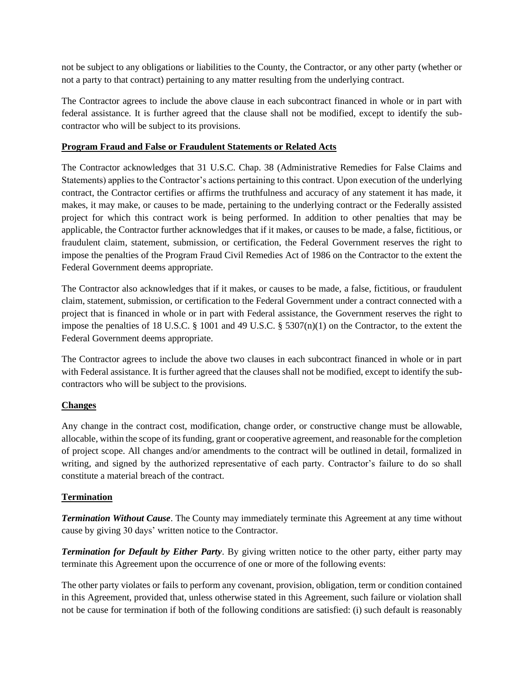not be subject to any obligations or liabilities to the County, the Contractor, or any other party (whether or not a party to that contract) pertaining to any matter resulting from the underlying contract.

The Contractor agrees to include the above clause in each subcontract financed in whole or in part with federal assistance. It is further agreed that the clause shall not be modified, except to identify the subcontractor who will be subject to its provisions.

## **Program Fraud and False or Fraudulent Statements or Related Acts**

The Contractor acknowledges that 31 U.S.C. Chap. 38 (Administrative Remedies for False Claims and Statements) applies to the Contractor's actions pertaining to this contract. Upon execution of the underlying contract, the Contractor certifies or affirms the truthfulness and accuracy of any statement it has made, it makes, it may make, or causes to be made, pertaining to the underlying contract or the Federally assisted project for which this contract work is being performed. In addition to other penalties that may be applicable, the Contractor further acknowledges that if it makes, or causes to be made, a false, fictitious, or fraudulent claim, statement, submission, or certification, the Federal Government reserves the right to impose the penalties of the Program Fraud Civil Remedies Act of 1986 on the Contractor to the extent the Federal Government deems appropriate.

The Contractor also acknowledges that if it makes, or causes to be made, a false, fictitious, or fraudulent claim, statement, submission, or certification to the Federal Government under a contract connected with a project that is financed in whole or in part with Federal assistance, the Government reserves the right to impose the penalties of 18 U.S.C.  $\S$  1001 and 49 U.S.C.  $\S$  5307(n)(1) on the Contractor, to the extent the Federal Government deems appropriate.

The Contractor agrees to include the above two clauses in each subcontract financed in whole or in part with Federal assistance. It is further agreed that the clauses shall not be modified, except to identify the subcontractors who will be subject to the provisions.

# **Changes**

Any change in the contract cost, modification, change order, or constructive change must be allowable, allocable, within the scope of its funding, grant or cooperative agreement, and reasonable for the completion of project scope. All changes and/or amendments to the contract will be outlined in detail, formalized in writing, and signed by the authorized representative of each party. Contractor's failure to do so shall constitute a material breach of the contract.

# **Termination**

*Termination Without Cause*. The County may immediately terminate this Agreement at any time without cause by giving 30 days' written notice to the Contractor.

*Termination for Default by Either Party*. By giving written notice to the other party, either party may terminate this Agreement upon the occurrence of one or more of the following events:

The other party violates or fails to perform any covenant, provision, obligation, term or condition contained in this Agreement, provided that, unless otherwise stated in this Agreement, such failure or violation shall not be cause for termination if both of the following conditions are satisfied: (i) such default is reasonably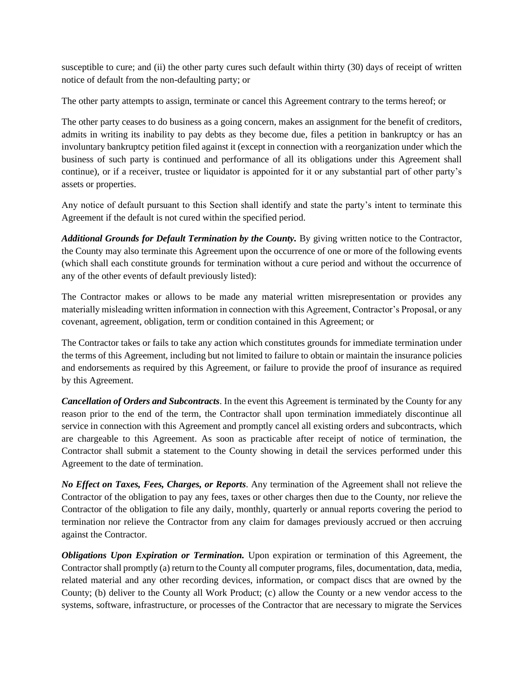susceptible to cure; and (ii) the other party cures such default within thirty (30) days of receipt of written notice of default from the non-defaulting party; or

The other party attempts to assign, terminate or cancel this Agreement contrary to the terms hereof; or

The other party ceases to do business as a going concern, makes an assignment for the benefit of creditors, admits in writing its inability to pay debts as they become due, files a petition in bankruptcy or has an involuntary bankruptcy petition filed against it (except in connection with a reorganization under which the business of such party is continued and performance of all its obligations under this Agreement shall continue), or if a receiver, trustee or liquidator is appointed for it or any substantial part of other party's assets or properties.

Any notice of default pursuant to this Section shall identify and state the party's intent to terminate this Agreement if the default is not cured within the specified period.

*Additional Grounds for Default Termination by the County.* By giving written notice to the Contractor, the County may also terminate this Agreement upon the occurrence of one or more of the following events (which shall each constitute grounds for termination without a cure period and without the occurrence of any of the other events of default previously listed):

The Contractor makes or allows to be made any material written misrepresentation or provides any materially misleading written information in connection with this Agreement, Contractor's Proposal, or any covenant, agreement, obligation, term or condition contained in this Agreement; or

The Contractor takes or fails to take any action which constitutes grounds for immediate termination under the terms of this Agreement, including but not limited to failure to obtain or maintain the insurance policies and endorsements as required by this Agreement, or failure to provide the proof of insurance as required by this Agreement.

*Cancellation of Orders and Subcontracts*. In the event this Agreement is terminated by the County for any reason prior to the end of the term, the Contractor shall upon termination immediately discontinue all service in connection with this Agreement and promptly cancel all existing orders and subcontracts, which are chargeable to this Agreement. As soon as practicable after receipt of notice of termination, the Contractor shall submit a statement to the County showing in detail the services performed under this Agreement to the date of termination.

*No Effect on Taxes, Fees, Charges, or Reports*. Any termination of the Agreement shall not relieve the Contractor of the obligation to pay any fees, taxes or other charges then due to the County, nor relieve the Contractor of the obligation to file any daily, monthly, quarterly or annual reports covering the period to termination nor relieve the Contractor from any claim for damages previously accrued or then accruing against the Contractor.

*Obligations Upon Expiration or Termination.* Upon expiration or termination of this Agreement, the Contractor shall promptly (a) return to the County all computer programs, files, documentation, data, media, related material and any other recording devices, information, or compact discs that are owned by the County; (b) deliver to the County all Work Product; (c) allow the County or a new vendor access to the systems, software, infrastructure, or processes of the Contractor that are necessary to migrate the Services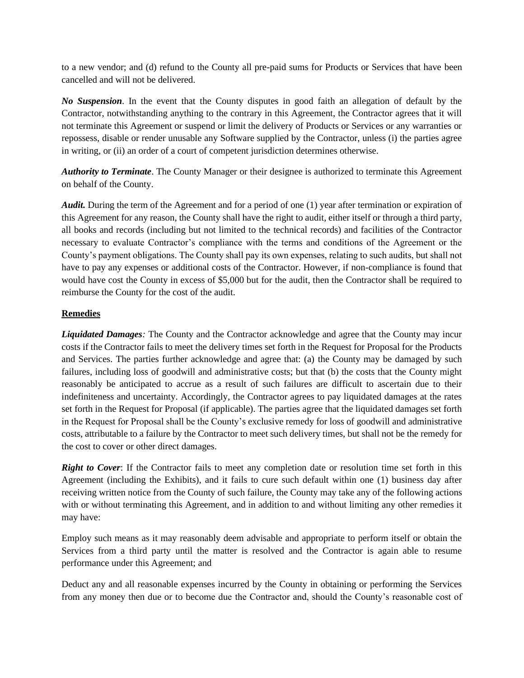to a new vendor; and (d) refund to the County all pre-paid sums for Products or Services that have been cancelled and will not be delivered.

*No Suspension*. In the event that the County disputes in good faith an allegation of default by the Contractor, notwithstanding anything to the contrary in this Agreement, the Contractor agrees that it will not terminate this Agreement or suspend or limit the delivery of Products or Services or any warranties or repossess, disable or render unusable any Software supplied by the Contractor, unless (i) the parties agree in writing, or (ii) an order of a court of competent jurisdiction determines otherwise.

*Authority to Terminate*. The County Manager or their designee is authorized to terminate this Agreement on behalf of the County.

*Audit.* During the term of the Agreement and for a period of one (1) year after termination or expiration of this Agreement for any reason, the County shall have the right to audit, either itself or through a third party, all books and records (including but not limited to the technical records) and facilities of the Contractor necessary to evaluate Contractor's compliance with the terms and conditions of the Agreement or the County's payment obligations. The County shall pay its own expenses, relating to such audits, but shall not have to pay any expenses or additional costs of the Contractor. However, if non-compliance is found that would have cost the County in excess of \$5,000 but for the audit, then the Contractor shall be required to reimburse the County for the cost of the audit.

# **Remedies**

*Liquidated Damages:* The County and the Contractor acknowledge and agree that the County may incur costs if the Contractor fails to meet the delivery times set forth in the Request for Proposal for the Products and Services. The parties further acknowledge and agree that: (a) the County may be damaged by such failures, including loss of goodwill and administrative costs; but that (b) the costs that the County might reasonably be anticipated to accrue as a result of such failures are difficult to ascertain due to their indefiniteness and uncertainty. Accordingly, the Contractor agrees to pay liquidated damages at the rates set forth in the Request for Proposal (if applicable). The parties agree that the liquidated damages set forth in the Request for Proposal shall be the County's exclusive remedy for loss of goodwill and administrative costs, attributable to a failure by the Contractor to meet such delivery times, but shall not be the remedy for the cost to cover or other direct damages.

*Right to Cover*: If the Contractor fails to meet any completion date or resolution time set forth in this Agreement (including the Exhibits), and it fails to cure such default within one (1) business day after receiving written notice from the County of such failure, the County may take any of the following actions with or without terminating this Agreement, and in addition to and without limiting any other remedies it may have:

Employ such means as it may reasonably deem advisable and appropriate to perform itself or obtain the Services from a third party until the matter is resolved and the Contractor is again able to resume performance under this Agreement; and

Deduct any and all reasonable expenses incurred by the County in obtaining or performing the Services from any money then due or to become due the Contractor and, should the County's reasonable cost of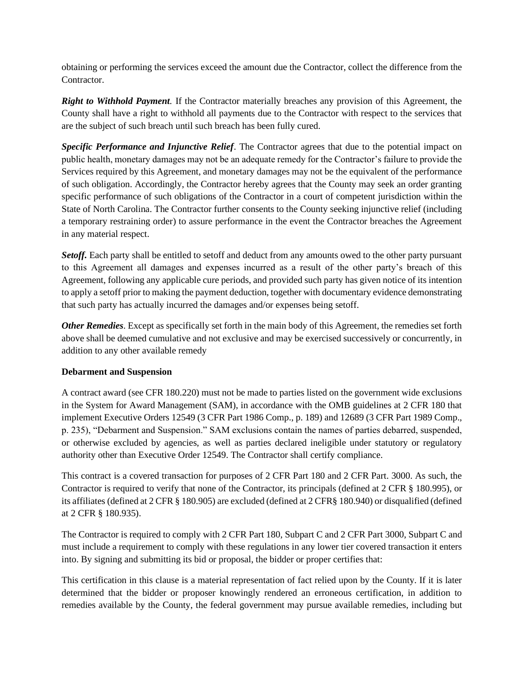obtaining or performing the services exceed the amount due the Contractor, collect the difference from the Contractor.

*Right to Withhold Payment.* If the Contractor materially breaches any provision of this Agreement, the County shall have a right to withhold all payments due to the Contractor with respect to the services that are the subject of such breach until such breach has been fully cured.

*Specific Performance and Injunctive Relief*. The Contractor agrees that due to the potential impact on public health, monetary damages may not be an adequate remedy for the Contractor's failure to provide the Services required by this Agreement, and monetary damages may not be the equivalent of the performance of such obligation. Accordingly, the Contractor hereby agrees that the County may seek an order granting specific performance of such obligations of the Contractor in a court of competent jurisdiction within the State of North Carolina. The Contractor further consents to the County seeking injunctive relief (including a temporary restraining order) to assure performance in the event the Contractor breaches the Agreement in any material respect.

**Setoff.** Each party shall be entitled to setoff and deduct from any amounts owed to the other party pursuant to this Agreement all damages and expenses incurred as a result of the other party's breach of this Agreement, following any applicable cure periods, and provided such party has given notice of its intention to apply a setoff prior to making the payment deduction, together with documentary evidence demonstrating that such party has actually incurred the damages and/or expenses being setoff.

*Other Remedies*. Except as specifically set forth in the main body of this Agreement, the remedies set forth above shall be deemed cumulative and not exclusive and may be exercised successively or concurrently, in addition to any other available remedy

# **Debarment and Suspension**

A contract award (see CFR 180.220) must not be made to parties listed on the government wide exclusions in the System for Award Management (SAM), in accordance with the OMB guidelines at 2 CFR 180 that implement Executive Orders 12549 (3 CFR Part 1986 Comp., p. 189) and 12689 (3 CFR Part 1989 Comp., p. 235), "Debarment and Suspension." SAM exclusions contain the names of parties debarred, suspended, or otherwise excluded by agencies, as well as parties declared ineligible under statutory or regulatory authority other than Executive Order 12549. The Contractor shall certify compliance.

This contract is a covered transaction for purposes of 2 CFR Part 180 and 2 CFR Part. 3000. As such, the Contractor is required to verify that none of the Contractor, its principals (defined at 2 CFR § 180.995), or its affiliates (defined at 2 CFR § 180.905) are excluded (defined at 2 CFR§ 180.940) or disqualified (defined at 2 CFR § 180.935).

The Contractor is required to comply with 2 CFR Part 180, Subpart C and 2 CFR Part 3000, Subpart C and must include a requirement to comply with these regulations in any lower tier covered transaction it enters into. By signing and submitting its bid or proposal, the bidder or proper certifies that:

This certification in this clause is a material representation of fact relied upon by the County. If it is later determined that the bidder or proposer knowingly rendered an erroneous certification, in addition to remedies available by the County, the federal government may pursue available remedies, including but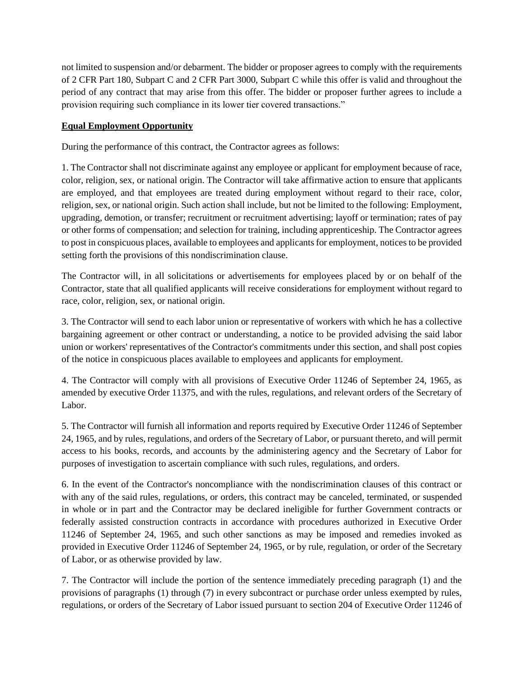not limited to suspension and/or debarment. The bidder or proposer agrees to comply with the requirements of 2 CFR Part 180, Subpart C and 2 CFR Part 3000, Subpart C while this offer is valid and throughout the period of any contract that may arise from this offer. The bidder or proposer further agrees to include a provision requiring such compliance in its lower tier covered transactions."

# **Equal Employment Opportunity**

During the performance of this contract, the Contractor agrees as follows:

1. The Contractor shall not discriminate against any employee or applicant for employment because of race, color, religion, sex, or national origin. The Contractor will take affirmative action to ensure that applicants are employed, and that employees are treated during employment without regard to their race, color, religion, sex, or national origin. Such action shall include, but not be limited to the following: Employment, upgrading, demotion, or transfer; recruitment or recruitment advertising; layoff or termination; rates of pay or other forms of compensation; and selection for training, including apprenticeship. The Contractor agrees to post in conspicuous places, available to employees and applicants for employment, notices to be provided setting forth the provisions of this nondiscrimination clause.

The Contractor will, in all solicitations or advertisements for employees placed by or on behalf of the Contractor, state that all qualified applicants will receive considerations for employment without regard to race, color, religion, sex, or national origin.

3. The Contractor will send to each labor union or representative of workers with which he has a collective bargaining agreement or other contract or understanding, a notice to be provided advising the said labor union or workers' representatives of the Contractor's commitments under this section, and shall post copies of the notice in conspicuous places available to employees and applicants for employment.

4. The Contractor will comply with all provisions of Executive Order 11246 of September 24, 1965, as amended by executive Order 11375, and with the rules, regulations, and relevant orders of the Secretary of Labor.

5. The Contractor will furnish all information and reports required by Executive Order 11246 of September 24, 1965, and by rules, regulations, and orders of the Secretary of Labor, or pursuant thereto, and will permit access to his books, records, and accounts by the administering agency and the Secretary of Labor for purposes of investigation to ascertain compliance with such rules, regulations, and orders.

6. In the event of the Contractor's noncompliance with the nondiscrimination clauses of this contract or with any of the said rules, regulations, or orders, this contract may be canceled, terminated, or suspended in whole or in part and the Contractor may be declared ineligible for further Government contracts or federally assisted construction contracts in accordance with procedures authorized in Executive Order 11246 of September 24, 1965, and such other sanctions as may be imposed and remedies invoked as provided in Executive Order 11246 of September 24, 1965, or by rule, regulation, or order of the Secretary of Labor, or as otherwise provided by law.

7. The Contractor will include the portion of the sentence immediately preceding paragraph (1) and the provisions of paragraphs (1) through (7) in every subcontract or purchase order unless exempted by rules, regulations, or orders of the Secretary of Labor issued pursuant to section 204 of Executive Order 11246 of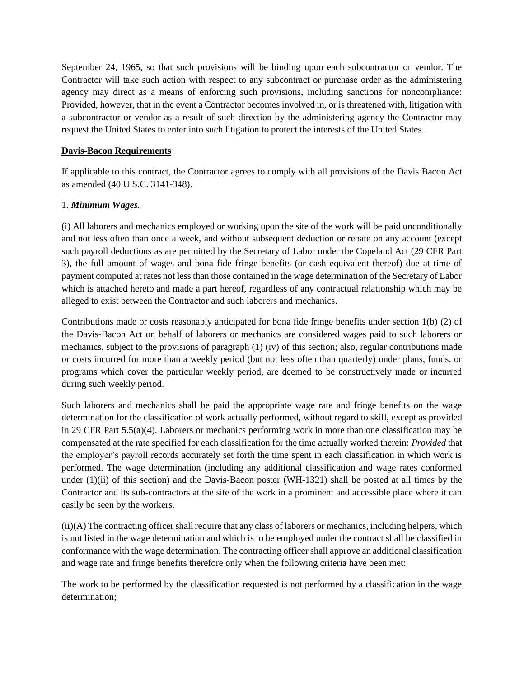September 24, 1965, so that such provisions will be binding upon each subcontractor or vendor. The Contractor will take such action with respect to any subcontract or purchase order as the administering agency may direct as a means of enforcing such provisions, including sanctions for noncompliance: Provided, however, that in the event a Contractor becomes involved in, or is threatened with, litigation with a subcontractor or vendor as a result of such direction by the administering agency the Contractor may request the United States to enter into such litigation to protect the interests of the United States.

### **Davis-Bacon Requirements**

If applicable to this contract, the Contractor agrees to comply with all provisions of the Davis Bacon Act as amended (40 U.S.C. 3141-348).

## 1. *Minimum Wages.*

(i) All laborers and mechanics employed or working upon the site of the work will be paid unconditionally and not less often than once a week, and without subsequent deduction or rebate on any account (except such payroll deductions as are permitted by the Secretary of Labor under the Copeland Act (29 CFR Part 3), the full amount of wages and bona fide fringe benefits (or cash equivalent thereof) due at time of payment computed at rates not less than those contained in the wage determination of the Secretary of Labor which is attached hereto and made a part hereof, regardless of any contractual relationship which may be alleged to exist between the Contractor and such laborers and mechanics.

Contributions made or costs reasonably anticipated for bona fide fringe benefits under section 1(b) (2) of the Davis-Bacon Act on behalf of laborers or mechanics are considered wages paid to such laborers or mechanics, subject to the provisions of paragraph (1) (iv) of this section; also, regular contributions made or costs incurred for more than a weekly period (but not less often than quarterly) under plans, funds, or programs which cover the particular weekly period, are deemed to be constructively made or incurred during such weekly period.

Such laborers and mechanics shall be paid the appropriate wage rate and fringe benefits on the wage determination for the classification of work actually performed, without regard to skill, except as provided in 29 CFR Part 5.5(a)(4). Laborers or mechanics performing work in more than one classification may be compensated at the rate specified for each classification for the time actually worked therein: *Provided* that the employer's payroll records accurately set forth the time spent in each classification in which work is performed. The wage determination (including any additional classification and wage rates conformed under (1)(ii) of this section) and the Davis-Bacon poster (WH-1321) shall be posted at all times by the Contractor and its sub-contractors at the site of the work in a prominent and accessible place where it can easily be seen by the workers.

(ii)(A) The contracting officer shall require that any class of laborers or mechanics, including helpers, which is not listed in the wage determination and which is to be employed under the contract shall be classified in conformance with the wage determination. The contracting officer shall approve an additional classification and wage rate and fringe benefits therefore only when the following criteria have been met:

The work to be performed by the classification requested is not performed by a classification in the wage determination;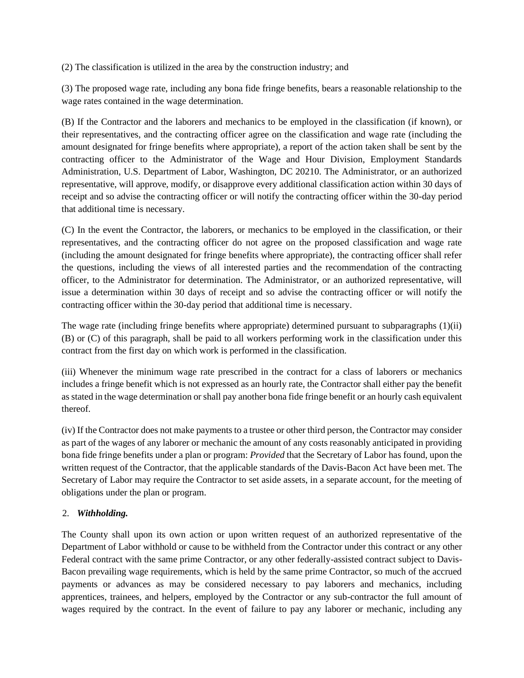(2) The classification is utilized in the area by the construction industry; and

(3) The proposed wage rate, including any bona fide fringe benefits, bears a reasonable relationship to the wage rates contained in the wage determination.

(B) If the Contractor and the laborers and mechanics to be employed in the classification (if known), or their representatives, and the contracting officer agree on the classification and wage rate (including the amount designated for fringe benefits where appropriate), a report of the action taken shall be sent by the contracting officer to the Administrator of the Wage and Hour Division, Employment Standards Administration, U.S. Department of Labor, Washington, DC 20210. The Administrator, or an authorized representative, will approve, modify, or disapprove every additional classification action within 30 days of receipt and so advise the contracting officer or will notify the contracting officer within the 30-day period that additional time is necessary.

(C) In the event the Contractor, the laborers, or mechanics to be employed in the classification, or their representatives, and the contracting officer do not agree on the proposed classification and wage rate (including the amount designated for fringe benefits where appropriate), the contracting officer shall refer the questions, including the views of all interested parties and the recommendation of the contracting officer, to the Administrator for determination. The Administrator, or an authorized representative, will issue a determination within 30 days of receipt and so advise the contracting officer or will notify the contracting officer within the 30-day period that additional time is necessary.

The wage rate (including fringe benefits where appropriate) determined pursuant to subparagraphs (1)(ii) (B) or (C) of this paragraph, shall be paid to all workers performing work in the classification under this contract from the first day on which work is performed in the classification.

(iii) Whenever the minimum wage rate prescribed in the contract for a class of laborers or mechanics includes a fringe benefit which is not expressed as an hourly rate, the Contractor shall either pay the benefit as stated in the wage determination or shall pay another bona fide fringe benefit or an hourly cash equivalent thereof.

(iv) If the Contractor does not make payments to a trustee or other third person, the Contractor may consider as part of the wages of any laborer or mechanic the amount of any costs reasonably anticipated in providing bona fide fringe benefits under a plan or program: *Provided* that the Secretary of Labor has found, upon the written request of the Contractor, that the applicable standards of the Davis-Bacon Act have been met. The Secretary of Labor may require the Contractor to set aside assets, in a separate account, for the meeting of obligations under the plan or program.

# 2. *Withholding.*

The County shall upon its own action or upon written request of an authorized representative of the Department of Labor withhold or cause to be withheld from the Contractor under this contract or any other Federal contract with the same prime Contractor, or any other federally-assisted contract subject to Davis-Bacon prevailing wage requirements, which is held by the same prime Contractor, so much of the accrued payments or advances as may be considered necessary to pay laborers and mechanics, including apprentices, trainees, and helpers, employed by the Contractor or any sub-contractor the full amount of wages required by the contract. In the event of failure to pay any laborer or mechanic, including any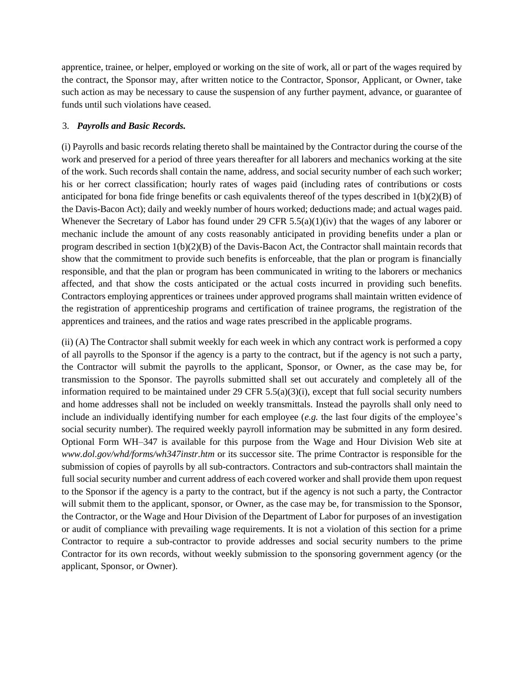apprentice, trainee, or helper, employed or working on the site of work, all or part of the wages required by the contract, the Sponsor may, after written notice to the Contractor, Sponsor, Applicant, or Owner, take such action as may be necessary to cause the suspension of any further payment, advance, or guarantee of funds until such violations have ceased.

#### 3. *Payrolls and Basic Records.*

(i) Payrolls and basic records relating thereto shall be maintained by the Contractor during the course of the work and preserved for a period of three years thereafter for all laborers and mechanics working at the site of the work. Such records shall contain the name, address, and social security number of each such worker; his or her correct classification; hourly rates of wages paid (including rates of contributions or costs anticipated for bona fide fringe benefits or cash equivalents thereof of the types described in  $1(b)(2)(B)$  of the Davis-Bacon Act); daily and weekly number of hours worked; deductions made; and actual wages paid. Whenever the Secretary of Labor has found under 29 CFR 5.5(a)(1)(iv) that the wages of any laborer or mechanic include the amount of any costs reasonably anticipated in providing benefits under a plan or program described in section 1(b)(2)(B) of the Davis-Bacon Act, the Contractor shall maintain records that show that the commitment to provide such benefits is enforceable, that the plan or program is financially responsible, and that the plan or program has been communicated in writing to the laborers or mechanics affected, and that show the costs anticipated or the actual costs incurred in providing such benefits. Contractors employing apprentices or trainees under approved programs shall maintain written evidence of the registration of apprenticeship programs and certification of trainee programs, the registration of the apprentices and trainees, and the ratios and wage rates prescribed in the applicable programs.

(ii) (A) The Contractor shall submit weekly for each week in which any contract work is performed a copy of all payrolls to the Sponsor if the agency is a party to the contract, but if the agency is not such a party, the Contractor will submit the payrolls to the applicant, Sponsor, or Owner, as the case may be, for transmission to the Sponsor. The payrolls submitted shall set out accurately and completely all of the information required to be maintained under 29 CFR  $5.5(a)(3)(i)$ , except that full social security numbers and home addresses shall not be included on weekly transmittals. Instead the payrolls shall only need to include an individually identifying number for each employee (*e.g.* the last four digits of the employee's social security number). The required weekly payroll information may be submitted in any form desired. Optional Form WH–347 is available for this purpose from the Wage and Hour Division Web site at *www.dol.gov/whd/forms/wh347instr.htm* or its successor site. The prime Contractor is responsible for the submission of copies of payrolls by all sub-contractors. Contractors and sub-contractors shall maintain the full social security number and current address of each covered worker and shall provide them upon request to the Sponsor if the agency is a party to the contract, but if the agency is not such a party, the Contractor will submit them to the applicant, sponsor, or Owner, as the case may be, for transmission to the Sponsor, the Contractor, or the Wage and Hour Division of the Department of Labor for purposes of an investigation or audit of compliance with prevailing wage requirements. It is not a violation of this section for a prime Contractor to require a sub-contractor to provide addresses and social security numbers to the prime Contractor for its own records, without weekly submission to the sponsoring government agency (or the applicant, Sponsor, or Owner).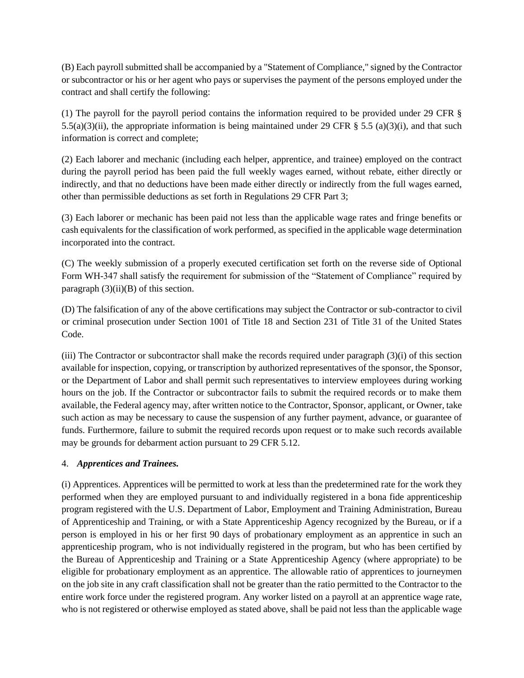(B) Each payroll submitted shall be accompanied by a "Statement of Compliance," signed by the Contractor or subcontractor or his or her agent who pays or supervises the payment of the persons employed under the contract and shall certify the following:

(1) The payroll for the payroll period contains the information required to be provided under 29 CFR § 5.5(a)(3)(ii), the appropriate information is being maintained under 29 CFR  $\S$  5.5 (a)(3)(i), and that such information is correct and complete;

(2) Each laborer and mechanic (including each helper, apprentice, and trainee) employed on the contract during the payroll period has been paid the full weekly wages earned, without rebate, either directly or indirectly, and that no deductions have been made either directly or indirectly from the full wages earned, other than permissible deductions as set forth in Regulations 29 CFR Part 3;

(3) Each laborer or mechanic has been paid not less than the applicable wage rates and fringe benefits or cash equivalents for the classification of work performed, as specified in the applicable wage determination incorporated into the contract.

(C) The weekly submission of a properly executed certification set forth on the reverse side of Optional Form WH-347 shall satisfy the requirement for submission of the "Statement of Compliance" required by paragraph  $(3)(ii)(B)$  of this section.

(D) The falsification of any of the above certifications may subject the Contractor or sub-contractor to civil or criminal prosecution under Section 1001 of Title 18 and Section 231 of Title 31 of the United States Code.

(iii) The Contractor or subcontractor shall make the records required under paragraph (3)(i) of this section available for inspection, copying, or transcription by authorized representatives of the sponsor, the Sponsor, or the Department of Labor and shall permit such representatives to interview employees during working hours on the job. If the Contractor or subcontractor fails to submit the required records or to make them available, the Federal agency may, after written notice to the Contractor, Sponsor, applicant, or Owner, take such action as may be necessary to cause the suspension of any further payment, advance, or guarantee of funds. Furthermore, failure to submit the required records upon request or to make such records available may be grounds for debarment action pursuant to 29 CFR 5.12.

# 4. *Apprentices and Trainees.*

(i) Apprentices. Apprentices will be permitted to work at less than the predetermined rate for the work they performed when they are employed pursuant to and individually registered in a bona fide apprenticeship program registered with the U.S. Department of Labor, Employment and Training Administration, Bureau of Apprenticeship and Training, or with a State Apprenticeship Agency recognized by the Bureau, or if a person is employed in his or her first 90 days of probationary employment as an apprentice in such an apprenticeship program, who is not individually registered in the program, but who has been certified by the Bureau of Apprenticeship and Training or a State Apprenticeship Agency (where appropriate) to be eligible for probationary employment as an apprentice. The allowable ratio of apprentices to journeymen on the job site in any craft classification shall not be greater than the ratio permitted to the Contractor to the entire work force under the registered program. Any worker listed on a payroll at an apprentice wage rate, who is not registered or otherwise employed as stated above, shall be paid not less than the applicable wage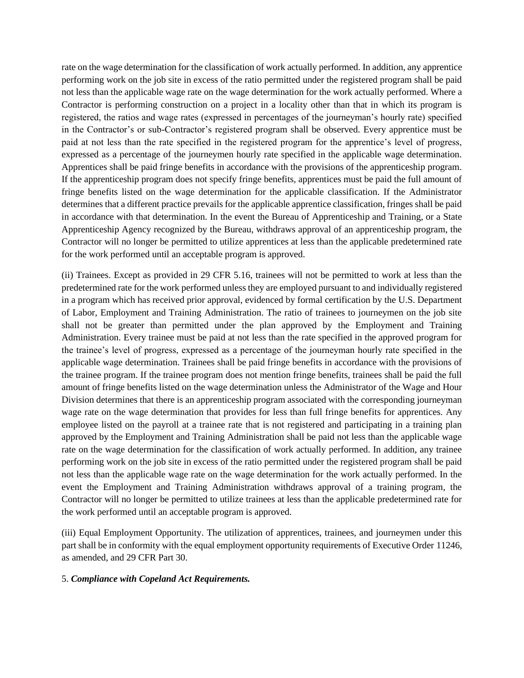rate on the wage determination for the classification of work actually performed. In addition, any apprentice performing work on the job site in excess of the ratio permitted under the registered program shall be paid not less than the applicable wage rate on the wage determination for the work actually performed. Where a Contractor is performing construction on a project in a locality other than that in which its program is registered, the ratios and wage rates (expressed in percentages of the journeyman's hourly rate) specified in the Contractor's or sub-Contractor's registered program shall be observed. Every apprentice must be paid at not less than the rate specified in the registered program for the apprentice's level of progress, expressed as a percentage of the journeymen hourly rate specified in the applicable wage determination. Apprentices shall be paid fringe benefits in accordance with the provisions of the apprenticeship program. If the apprenticeship program does not specify fringe benefits, apprentices must be paid the full amount of fringe benefits listed on the wage determination for the applicable classification. If the Administrator determines that a different practice prevails for the applicable apprentice classification, fringes shall be paid in accordance with that determination. In the event the Bureau of Apprenticeship and Training, or a State Apprenticeship Agency recognized by the Bureau, withdraws approval of an apprenticeship program, the Contractor will no longer be permitted to utilize apprentices at less than the applicable predetermined rate for the work performed until an acceptable program is approved.

(ii) Trainees. Except as provided in 29 CFR 5.16, trainees will not be permitted to work at less than the predetermined rate for the work performed unless they are employed pursuant to and individually registered in a program which has received prior approval, evidenced by formal certification by the U.S. Department of Labor, Employment and Training Administration. The ratio of trainees to journeymen on the job site shall not be greater than permitted under the plan approved by the Employment and Training Administration. Every trainee must be paid at not less than the rate specified in the approved program for the trainee's level of progress, expressed as a percentage of the journeyman hourly rate specified in the applicable wage determination. Trainees shall be paid fringe benefits in accordance with the provisions of the trainee program. If the trainee program does not mention fringe benefits, trainees shall be paid the full amount of fringe benefits listed on the wage determination unless the Administrator of the Wage and Hour Division determines that there is an apprenticeship program associated with the corresponding journeyman wage rate on the wage determination that provides for less than full fringe benefits for apprentices. Any employee listed on the payroll at a trainee rate that is not registered and participating in a training plan approved by the Employment and Training Administration shall be paid not less than the applicable wage rate on the wage determination for the classification of work actually performed. In addition, any trainee performing work on the job site in excess of the ratio permitted under the registered program shall be paid not less than the applicable wage rate on the wage determination for the work actually performed. In the event the Employment and Training Administration withdraws approval of a training program, the Contractor will no longer be permitted to utilize trainees at less than the applicable predetermined rate for the work performed until an acceptable program is approved.

(iii) Equal Employment Opportunity. The utilization of apprentices, trainees, and journeymen under this part shall be in conformity with the equal employment opportunity requirements of Executive Order 11246, as amended, and 29 CFR Part 30.

#### 5. *Compliance with Copeland Act Requirements.*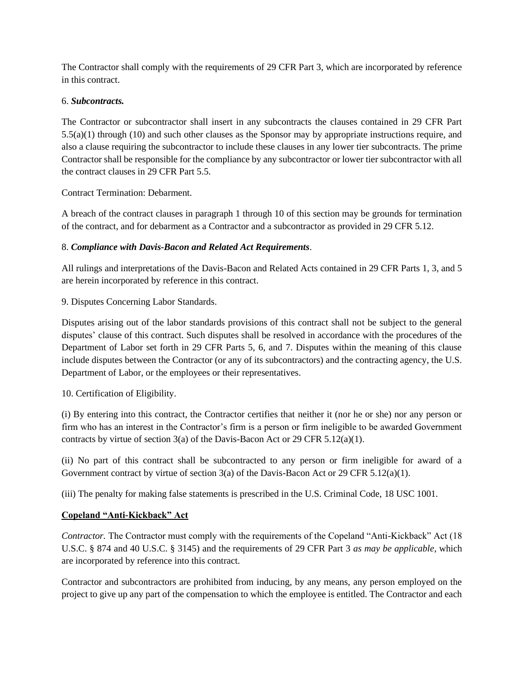The Contractor shall comply with the requirements of 29 CFR Part 3, which are incorporated by reference in this contract.

# 6. *Subcontracts.*

The Contractor or subcontractor shall insert in any subcontracts the clauses contained in 29 CFR Part 5.5(a)(1) through (10) and such other clauses as the Sponsor may by appropriate instructions require, and also a clause requiring the subcontractor to include these clauses in any lower tier subcontracts. The prime Contractor shall be responsible for the compliance by any subcontractor or lower tier subcontractor with all the contract clauses in 29 CFR Part 5.5.

# Contract Termination: Debarment.

A breach of the contract clauses in paragraph 1 through 10 of this section may be grounds for termination of the contract, and for debarment as a Contractor and a subcontractor as provided in 29 CFR 5.12.

# 8. *Compliance with Davis-Bacon and Related Act Requirements*.

All rulings and interpretations of the Davis-Bacon and Related Acts contained in 29 CFR Parts 1, 3, and 5 are herein incorporated by reference in this contract.

# 9. Disputes Concerning Labor Standards.

Disputes arising out of the labor standards provisions of this contract shall not be subject to the general disputes' clause of this contract. Such disputes shall be resolved in accordance with the procedures of the Department of Labor set forth in 29 CFR Parts 5, 6, and 7. Disputes within the meaning of this clause include disputes between the Contractor (or any of its subcontractors) and the contracting agency, the U.S. Department of Labor, or the employees or their representatives.

# 10. Certification of Eligibility.

(i) By entering into this contract, the Contractor certifies that neither it (nor he or she) nor any person or firm who has an interest in the Contractor's firm is a person or firm ineligible to be awarded Government contracts by virtue of section 3(a) of the Davis-Bacon Act or 29 CFR 5.12(a)(1).

(ii) No part of this contract shall be subcontracted to any person or firm ineligible for award of a Government contract by virtue of section 3(a) of the Davis-Bacon Act or 29 CFR 5.12(a)(1).

(iii) The penalty for making false statements is prescribed in the U.S. Criminal Code, 18 USC 1001.

# **Copeland "Anti-Kickback" Act**

*Contractor.* The Contractor must comply with the requirements of the Copeland "Anti-Kickback" Act (18 U.S.C. § 874 and 40 U.S.C. § 3145) and the requirements of 29 CFR Part 3 *as may be applicable*, which are incorporated by reference into this contract.

Contractor and subcontractors are prohibited from inducing, by any means, any person employed on the project to give up any part of the compensation to which the employee is entitled. The Contractor and each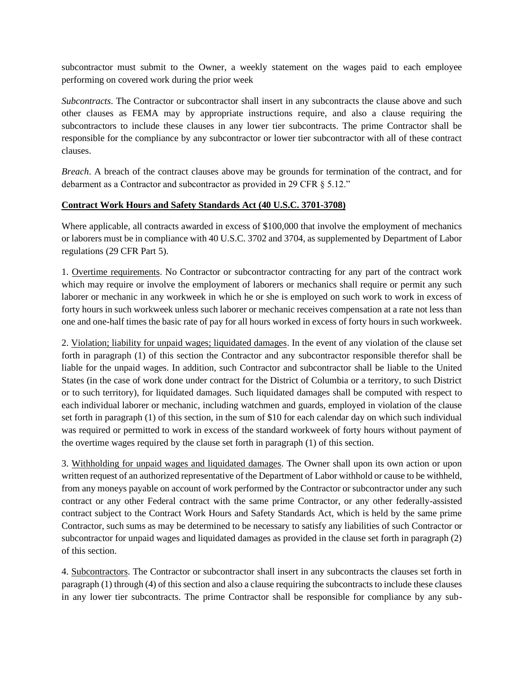subcontractor must submit to the Owner, a weekly statement on the wages paid to each employee performing on covered work during the prior week

*Subcontracts*. The Contractor or subcontractor shall insert in any subcontracts the clause above and such other clauses as FEMA may by appropriate instructions require, and also a clause requiring the subcontractors to include these clauses in any lower tier subcontracts. The prime Contractor shall be responsible for the compliance by any subcontractor or lower tier subcontractor with all of these contract clauses.

*Breach*. A breach of the contract clauses above may be grounds for termination of the contract, and for debarment as a Contractor and subcontractor as provided in 29 CFR § 5.12."

## **Contract Work Hours and Safety Standards Act (40 U.S.C. 3701-3708)**

Where applicable, all contracts awarded in excess of \$100,000 that involve the employment of mechanics or laborers must be in compliance with 40 U.S.C. 3702 and 3704, as supplemented by Department of Labor regulations (29 CFR Part 5).

1. Overtime requirements. No Contractor or subcontractor contracting for any part of the contract work which may require or involve the employment of laborers or mechanics shall require or permit any such laborer or mechanic in any workweek in which he or she is employed on such work to work in excess of forty hours in such workweek unless such laborer or mechanic receives compensation at a rate not less than one and one-half times the basic rate of pay for all hours worked in excess of forty hours in such workweek.

2. Violation; liability for unpaid wages; liquidated damages. In the event of any violation of the clause set forth in paragraph (1) of this section the Contractor and any subcontractor responsible therefor shall be liable for the unpaid wages. In addition, such Contractor and subcontractor shall be liable to the United States (in the case of work done under contract for the District of Columbia or a territory, to such District or to such territory), for liquidated damages. Such liquidated damages shall be computed with respect to each individual laborer or mechanic, including watchmen and guards, employed in violation of the clause set forth in paragraph (1) of this section, in the sum of \$10 for each calendar day on which such individual was required or permitted to work in excess of the standard workweek of forty hours without payment of the overtime wages required by the clause set forth in paragraph (1) of this section.

3. Withholding for unpaid wages and liquidated damages. The Owner shall upon its own action or upon written request of an authorized representative of the Department of Labor withhold or cause to be withheld, from any moneys payable on account of work performed by the Contractor or subcontractor under any such contract or any other Federal contract with the same prime Contractor, or any other federally-assisted contract subject to the Contract Work Hours and Safety Standards Act, which is held by the same prime Contractor, such sums as may be determined to be necessary to satisfy any liabilities of such Contractor or subcontractor for unpaid wages and liquidated damages as provided in the clause set forth in paragraph (2) of this section.

4. Subcontractors. The Contractor or subcontractor shall insert in any subcontracts the clauses set forth in paragraph (1) through (4) of this section and also a clause requiring the subcontracts to include these clauses in any lower tier subcontracts. The prime Contractor shall be responsible for compliance by any sub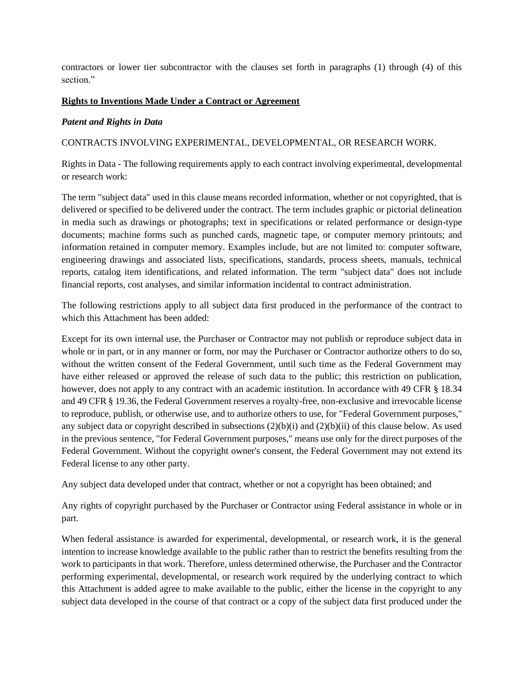contractors or lower tier subcontractor with the clauses set forth in paragraphs (1) through (4) of this section."

## **Rights to Inventions Made Under a Contract or Agreement**

#### *Patent and Rights in Data*

CONTRACTS INVOLVING EXPERIMENTAL, DEVELOPMENTAL, OR RESEARCH WORK.

Rights in Data - The following requirements apply to each contract involving experimental, developmental or research work:

The term "subject data" used in this clause means recorded information, whether or not copyrighted, that is delivered or specified to be delivered under the contract. The term includes graphic or pictorial delineation in media such as drawings or photographs; text in specifications or related performance or design-type documents; machine forms such as punched cards, magnetic tape, or computer memory printouts; and information retained in computer memory. Examples include, but are not limited to: computer software, engineering drawings and associated lists, specifications, standards, process sheets, manuals, technical reports, catalog item identifications, and related information. The term "subject data" does not include financial reports, cost analyses, and similar information incidental to contract administration.

The following restrictions apply to all subject data first produced in the performance of the contract to which this Attachment has been added:

Except for its own internal use, the Purchaser or Contractor may not publish or reproduce subject data in whole or in part, or in any manner or form, nor may the Purchaser or Contractor authorize others to do so, without the written consent of the Federal Government, until such time as the Federal Government may have either released or approved the release of such data to the public; this restriction on publication, however, does not apply to any contract with an academic institution. In accordance with 49 CFR § 18.34 and 49 CFR § 19.36, the Federal Government reserves a royalty-free, non-exclusive and irrevocable license to reproduce, publish, or otherwise use, and to authorize others to use, for "Federal Government purposes," any subject data or copyright described in subsections  $(2)(b)(i)$  and  $(2)(b)(ii)$  of this clause below. As used in the previous sentence, "for Federal Government purposes," means use only for the direct purposes of the Federal Government. Without the copyright owner's consent, the Federal Government may not extend its Federal license to any other party.

Any subject data developed under that contract, whether or not a copyright has been obtained; and

Any rights of copyright purchased by the Purchaser or Contractor using Federal assistance in whole or in part.

When federal assistance is awarded for experimental, developmental, or research work, it is the general intention to increase knowledge available to the public rather than to restrict the benefits resulting from the work to participants in that work. Therefore, unless determined otherwise, the Purchaser and the Contractor performing experimental, developmental, or research work required by the underlying contract to which this Attachment is added agree to make available to the public, either the license in the copyright to any subject data developed in the course of that contract or a copy of the subject data first produced under the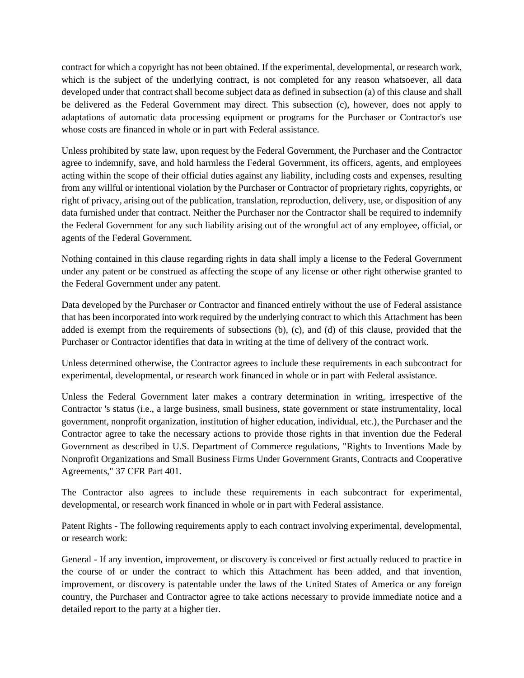contract for which a copyright has not been obtained. If the experimental, developmental, or research work, which is the subject of the underlying contract, is not completed for any reason whatsoever, all data developed under that contract shall become subject data as defined in subsection (a) of this clause and shall be delivered as the Federal Government may direct. This subsection (c), however, does not apply to adaptations of automatic data processing equipment or programs for the Purchaser or Contractor's use whose costs are financed in whole or in part with Federal assistance.

Unless prohibited by state law, upon request by the Federal Government, the Purchaser and the Contractor agree to indemnify, save, and hold harmless the Federal Government, its officers, agents, and employees acting within the scope of their official duties against any liability, including costs and expenses, resulting from any willful or intentional violation by the Purchaser or Contractor of proprietary rights, copyrights, or right of privacy, arising out of the publication, translation, reproduction, delivery, use, or disposition of any data furnished under that contract. Neither the Purchaser nor the Contractor shall be required to indemnify the Federal Government for any such liability arising out of the wrongful act of any employee, official, or agents of the Federal Government.

Nothing contained in this clause regarding rights in data shall imply a license to the Federal Government under any patent or be construed as affecting the scope of any license or other right otherwise granted to the Federal Government under any patent.

Data developed by the Purchaser or Contractor and financed entirely without the use of Federal assistance that has been incorporated into work required by the underlying contract to which this Attachment has been added is exempt from the requirements of subsections (b), (c), and (d) of this clause, provided that the Purchaser or Contractor identifies that data in writing at the time of delivery of the contract work.

Unless determined otherwise, the Contractor agrees to include these requirements in each subcontract for experimental, developmental, or research work financed in whole or in part with Federal assistance.

Unless the Federal Government later makes a contrary determination in writing, irrespective of the Contractor 's status (i.e., a large business, small business, state government or state instrumentality, local government, nonprofit organization, institution of higher education, individual, etc.), the Purchaser and the Contractor agree to take the necessary actions to provide those rights in that invention due the Federal Government as described in U.S. Department of Commerce regulations, "Rights to Inventions Made by Nonprofit Organizations and Small Business Firms Under Government Grants, Contracts and Cooperative Agreements," 37 CFR Part 401.

The Contractor also agrees to include these requirements in each subcontract for experimental, developmental, or research work financed in whole or in part with Federal assistance.

Patent Rights - The following requirements apply to each contract involving experimental, developmental, or research work:

General - If any invention, improvement, or discovery is conceived or first actually reduced to practice in the course of or under the contract to which this Attachment has been added, and that invention, improvement, or discovery is patentable under the laws of the United States of America or any foreign country, the Purchaser and Contractor agree to take actions necessary to provide immediate notice and a detailed report to the party at a higher tier.